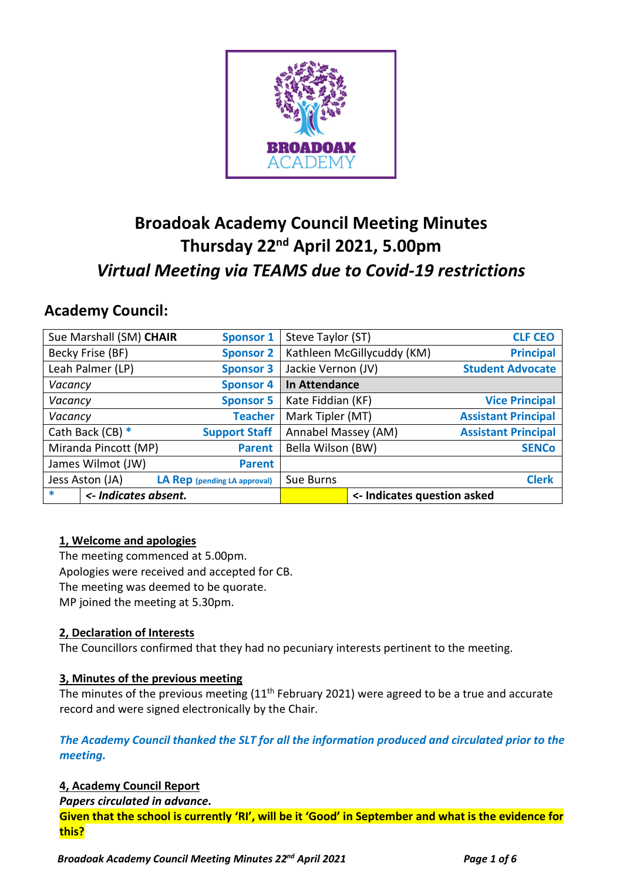

# **Broadoak Academy Council Meeting Minutes Thursday 22nd April 2021, 5.00pm** *Virtual Meeting via TEAMS due to Covid-19 restrictions*

## **Academy Council:**

| Sue Marshall (SM) CHAIR        | <b>Sponsor 1</b>             | Steve Taylor (ST)           |                            | <b>CLF CEO</b>             |
|--------------------------------|------------------------------|-----------------------------|----------------------------|----------------------------|
| Becky Frise (BF)               | <b>Sponsor 2</b>             |                             | Kathleen McGillycuddy (KM) | <b>Principal</b>           |
| Leah Palmer (LP)               | <b>Sponsor 3</b>             | Jackie Vernon (JV)          |                            | <b>Student Advocate</b>    |
| Vacancy                        | <b>Sponsor 4</b>             | In Attendance               |                            |                            |
| Vacancy                        | <b>Sponsor 5</b>             | Kate Fiddian (KF)           |                            | <b>Vice Principal</b>      |
| Vacancy                        | <b>Teacher</b>               | Mark Tipler (MT)            |                            | <b>Assistant Principal</b> |
| Cath Back (CB) $*$             | <b>Support Staff</b>         | Annabel Massey (AM)         |                            | <b>Assistant Principal</b> |
| Miranda Pincott (MP)           | <b>Parent</b>                | Bella Wilson (BW)           |                            | <b>SENCo</b>               |
| James Wilmot (JW)              | <b>Parent</b>                |                             |                            |                            |
| Jess Aston (JA)                | LA Rep (pending LA approval) | Sue Burns                   |                            | <b>Clerk</b>               |
| $\ast$<br><- Indicates absent. |                              | <- Indicates question asked |                            |                            |

## **1, Welcome and apologies**

The meeting commenced at 5.00pm. Apologies were received and accepted for CB. The meeting was deemed to be quorate. MP joined the meeting at 5.30pm.

## **2, Declaration of Interests**

The Councillors confirmed that they had no pecuniary interests pertinent to the meeting.

## **3, Minutes of the previous meeting**

The minutes of the previous meeting (11<sup>th</sup> February 2021) were agreed to be a true and accurate record and were signed electronically by the Chair.

## *The Academy Council thanked the SLT for all the information produced and circulated prior to the meeting.*

## **4, Academy Council Report**

*Papers circulated in advance.*

**Given that the school is currently 'RI', will be it 'Good' in September and what is the evidence for this?**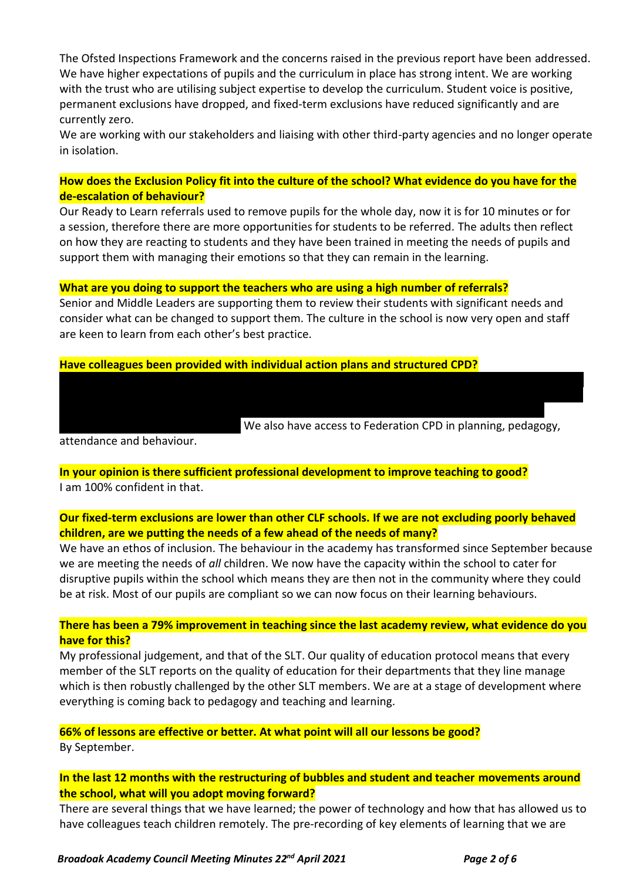The Ofsted Inspections Framework and the concerns raised in the previous report have been addressed. We have higher expectations of pupils and the curriculum in place has strong intent. We are working with the trust who are utilising subject expertise to develop the curriculum. Student voice is positive, permanent exclusions have dropped, and fixed-term exclusions have reduced significantly and are currently zero.

We are working with our stakeholders and liaising with other third-party agencies and no longer operate in isolation.

## **How does the Exclusion Policy fit into the culture of the school? What evidence do you have for the de-escalation of behaviour?**

Our Ready to Learn referrals used to remove pupils for the whole day, now it is for 10 minutes or for a session, therefore there are more opportunities for students to be referred. The adults then reflect on how they are reacting to students and they have been trained in meeting the needs of pupils and support them with managing their emotions so that they can remain in the learning.

## **What are you doing to support the teachers who are using a high number of referrals?**

Senior and Middle Leaders are supporting them to review their students with significant needs and consider what can be changed to support them. The culture in the school is now very open and staff are keen to learn from each other's best practice.

The teachers who are referring out the most are early career teachers. We have a professional support programme that encompasses safeguarding and behaviour and ethos. Some colleagues are on support

#### **Have colleagues been provided with individual action plans and structured CPD?**

We also have access to Federation CPD in planning, pedagogy,

attendance and behaviour.

**In your opinion is there sufficient professional development to improve teaching to good?** I am 100% confident in that.

plans with faculty leaders, some are working with SLT members and some are following weekly

## **Our fixed-term exclusions are lower than other CLF schools. If we are not excluding poorly behaved children, are we putting the needs of a few ahead of the needs of many?**

We have an ethos of inclusion. The behaviour in the academy has transformed since September because we are meeting the needs of *all* children. We now have the capacity within the school to cater for disruptive pupils within the school which means they are then not in the community where they could be at risk. Most of our pupils are compliant so we can now focus on their learning behaviours.

## **There has been a 79% improvement in teaching since the last academy review, what evidence do you have for this?**

My professional judgement, and that of the SLT. Our quality of education protocol means that every member of the SLT reports on the quality of education for their departments that they line manage which is then robustly challenged by the other SLT members. We are at a stage of development where everything is coming back to pedagogy and teaching and learning.

## **66% of lessons are effective or better. At what point will all our lessons be good?**

By September.

## **In the last 12 months with the restructuring of bubbles and student and teacher movements around the school, what will you adopt moving forward?**

There are several things that we have learned; the power of technology and how that has allowed us to have colleagues teach children remotely. The pre-recording of key elements of learning that we are

#### *Broadoak Academy Council Meeting Minutes 22nd April 2021 Page 2 of 6*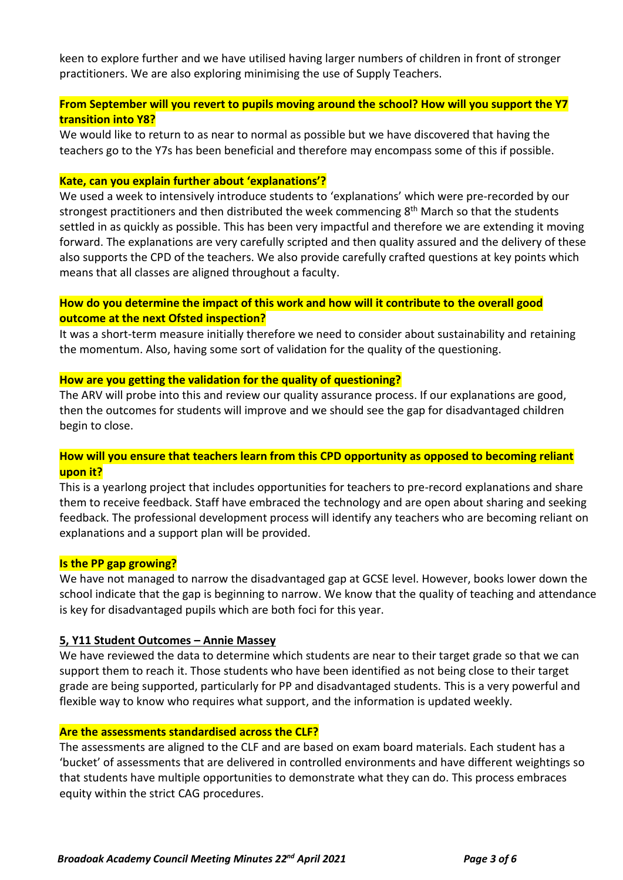keen to explore further and we have utilised having larger numbers of children in front of stronger practitioners. We are also exploring minimising the use of Supply Teachers.

## **From September will you revert to pupils moving around the school? How will you support the Y7 transition into Y8?**

We would like to return to as near to normal as possible but we have discovered that having the teachers go to the Y7s has been beneficial and therefore may encompass some of this if possible.

#### **Kate, can you explain further about 'explanations'?**

We used a week to intensively introduce students to 'explanations' which were pre-recorded by our strongest practitioners and then distributed the week commencing 8<sup>th</sup> March so that the students settled in as quickly as possible. This has been very impactful and therefore we are extending it moving forward. The explanations are very carefully scripted and then quality assured and the delivery of these also supports the CPD of the teachers. We also provide carefully crafted questions at key points which means that all classes are aligned throughout a faculty.

## **How do you determine the impact of this work and how will it contribute to the overall good outcome at the next Ofsted inspection?**

It was a short-term measure initially therefore we need to consider about sustainability and retaining the momentum. Also, having some sort of validation for the quality of the questioning.

#### **How are you getting the validation for the quality of questioning?**

The ARV will probe into this and review our quality assurance process. If our explanations are good, then the outcomes for students will improve and we should see the gap for disadvantaged children begin to close.

## **How will you ensure that teachers learn from this CPD opportunity as opposed to becoming reliant upon it?**

This is a yearlong project that includes opportunities for teachers to pre-record explanations and share them to receive feedback. Staff have embraced the technology and are open about sharing and seeking feedback. The professional development process will identify any teachers who are becoming reliant on explanations and a support plan will be provided.

#### **Is the PP gap growing?**

We have not managed to narrow the disadvantaged gap at GCSE level. However, books lower down the school indicate that the gap is beginning to narrow. We know that the quality of teaching and attendance is key for disadvantaged pupils which are both foci for this year.

#### **5, Y11 Student Outcomes – Annie Massey**

We have reviewed the data to determine which students are near to their target grade so that we can support them to reach it. Those students who have been identified as not being close to their target grade are being supported, particularly for PP and disadvantaged students. This is a very powerful and flexible way to know who requires what support, and the information is updated weekly.

#### **Are the assessments standardised across the CLF?**

The assessments are aligned to the CLF and are based on exam board materials. Each student has a 'bucket' of assessments that are delivered in controlled environments and have different weightings so that students have multiple opportunities to demonstrate what they can do. This process embraces equity within the strict CAG procedures.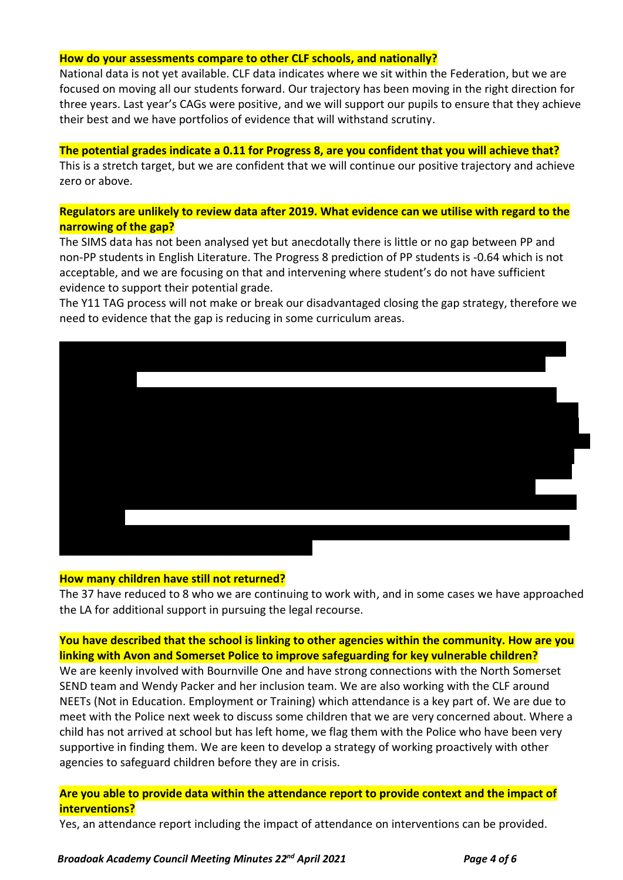#### **How do your assessments compare to other CLF schools, and nationally?**

National data is not yet available. CLF data indicates where we sit within the Federation, but we are focused on moving all our students forward. Our trajectory has been moving in the right direction for three years. Last year's CAGs were positive, and we will support our pupils to ensure that they achieve their best and we have portfolios of evidence that will withstand scrutiny.

#### **The potential grades indicate a 0.11 for Progress 8, are you confident that you will achieve that?**

This is a stretch target, but we are confident that we will continue our positive trajectory and achieve zero or above.

## **Regulators are unlikely to review data after 2019. What evidence can we utilise with regard to the narrowing of the gap?**

The SIMS data has not been analysed yet but anecdotally there is little or no gap between PP and non-PP students in English Literature. The Progress 8 prediction of PP students is -0.64 which is not acceptable, and we are focusing on that and intervening where student's do not have sufficient evidence to support their potential grade.

The Y11 TAG process will not make or break our disadvantaged closing the gap strategy, therefore we need to evidence that the gap is reducing in some curriculum areas.



#### **How many children have still not returned?**

The 37 have reduced to 8 who we are continuing to work with, and in some cases we have approached the LA for additional support in pursuing the legal recourse.

## **You have described that the school is linking to other agencies within the community. How are you linking with Avon and Somerset Police to improve safeguarding for key vulnerable children?**

We are keenly involved with Bournville One and have strong connections with the North Somerset SEND team and Wendy Packer and her inclusion team. We are also working with the CLF around NEETs (Not in Education. Employment or Training) which attendance is a key part of. We are due to meet with the Police next week to discuss some children that we are very concerned about. Where a child has not arrived at school but has left home, we flag them with the Police who have been very supportive in finding them. We are keen to develop a strategy of working proactively with other agencies to safeguard children before they are in crisis.

## **Are you able to provide data within the attendance report to provide context and the impact of interventions?**

Yes, an attendance report including the impact of attendance on interventions can be provided.

#### *Broadoak Academy Council Meeting Minutes 22nd April 2021 Page 4 of 6*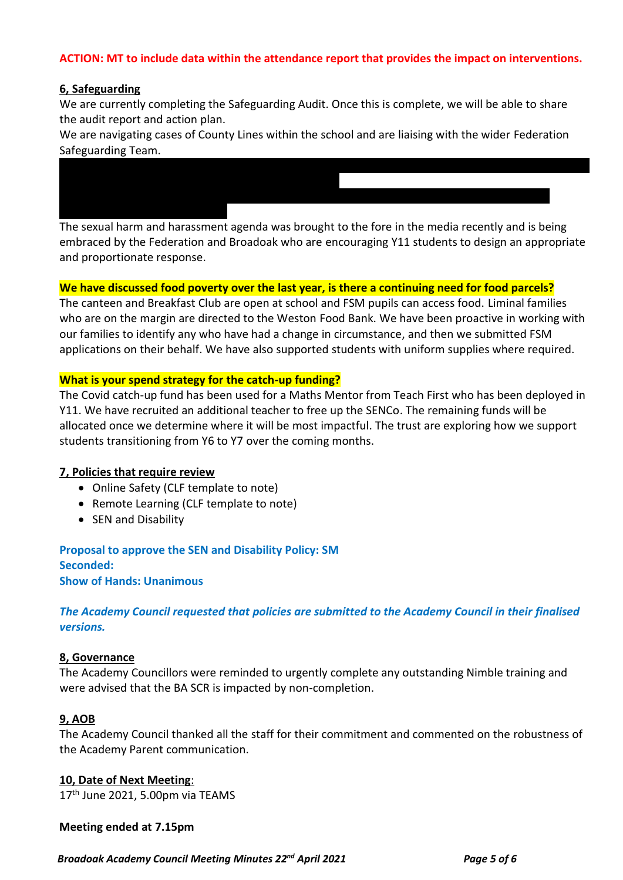## **ACTION: MT to include data within the attendance report that provides the impact on interventions.**

#### **6, Safeguarding**

We are currently completing the Safeguarding Audit. Once this is complete, we will be able to share the audit report and action plan.

We are navigating cases of County Lines within the school and are liaising with the wider Federation Safeguarding Team.

We have seen an increase in mental health issues and self-harm and are identifying the best counselling

The sexual harm and harassment agenda was brought to the fore in the media recently and is being embraced by the Federation and Broadoak who are encouraging Y11 students to design an appropriate and proportionate response.

#### **We have discussed food poverty over the last year, is there a continuing need for food parcels?**

 $T$  there has been one referred to the Director for  $\mathcal{L}_\mathcal{A}$  is a content to is being that it is being that it is being that it is being that it is being that it is being that it is being that it is being that it is

The canteen and Breakfast Club are open at school and FSM pupils can access food. Liminal families who are on the margin are directed to the Weston Food Bank. We have been proactive in working with our families to identify any who have had a change in circumstance, and then we submitted FSM applications on their behalf. We have also supported students with uniform supplies where required.

#### **What is your spend strategy for the catch-up funding?**

The Covid catch-up fund has been used for a Maths Mentor from Teach First who has been deployed in Y11. We have recruited an additional teacher to free up the SENCo. The remaining funds will be allocated once we determine where it will be most impactful. The trust are exploring how we support students transitioning from Y6 to Y7 over the coming months.

#### **7, Policies that require review**

- Online Safety (CLF template to note)
- Remote Learning (CLF template to note)
- SEN and Disability

**Proposal to approve the SEN and Disability Policy: SM Seconded: Show of Hands: Unanimous**

*The Academy Council requested that policies are submitted to the Academy Council in their finalised versions.*

#### **8, Governance**

The Academy Councillors were reminded to urgently complete any outstanding Nimble training and were advised that the BA SCR is impacted by non-completion.

#### **9, AOB**

The Academy Council thanked all the staff for their commitment and commented on the robustness of the Academy Parent communication.

**10, Date of Next Meeting**:

17<sup>th</sup> June 2021, 5.00pm via TEAMS

#### **Meeting ended at 7.15pm**

 *Broadoak Academy Council Meeting Minutes 22nd April 2021 Page 5 of 6*